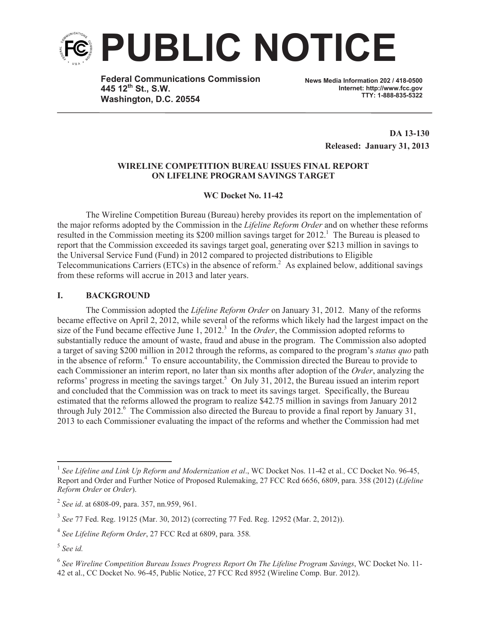

**Federal Communications Commission 445 12th St., S.W. Washington, D.C. 20554**

**News Media Information 202 / 418-0500 Internet: http://www.fcc.gov TTY: 1-888-835-5322**

> **DA 13-130 Released: January 31, 2013**

# **WIRELINE COMPETITION BUREAU ISSUES FINAL REPORT ON LIFELINE PROGRAM SAVINGS TARGET**

# **WC Docket No. 11-42**

The Wireline Competition Bureau (Bureau) hereby provides its report on the implementation of the major reforms adopted by the Commission in the *Lifeline Reform Order* and on whether these reforms resulted in the Commission meeting its \$200 million savings target for 2012.<sup>1</sup> The Bureau is pleased to report that the Commission exceeded its savings target goal, generating over \$213 million in savings to the Universal Service Fund (Fund) in 2012 compared to projected distributions to Eligible Telecommunications Carriers (ETCs) in the absence of reform.<sup>2</sup> As explained below, additional savings from these reforms will accrue in 2013 and later years.

# **I. BACKGROUND**

The Commission adopted the *Lifeline Reform Order* on January 31, 2012. Many of the reforms became effective on April 2, 2012, while several of the reforms which likely had the largest impact on the size of the Fund became effective June  $1, 2012$ <sup>3</sup> In the *Order*, the Commission adopted reforms to substantially reduce the amount of waste, fraud and abuse in the program. The Commission also adopted a target of saving \$200 million in 2012 through the reforms, as compared to the program's *status quo* path in the absence of reform.<sup>4</sup> To ensure accountability, the Commission directed the Bureau to provide to each Commissioner an interim report, no later than six months after adoption of the *Order*, analyzing the reforms' progress in meeting the savings target.<sup>5</sup> On July 31, 2012, the Bureau issued an interim report and concluded that the Commission was on track to meet its savings target. Specifically, the Bureau estimated that the reforms allowed the program to realize \$42.75 million in savings from January 2012 through July 2012.<sup>6</sup> The Commission also directed the Bureau to provide a final report by January 31, 2013 to each Commissioner evaluating the impact of the reforms and whether the Commission had met

<sup>1</sup> *See Lifeline and Link Up Reform and Modernization et al*., WC Docket Nos. 11-42 et al*.,* CC Docket No. 96-45, Report and Order and Further Notice of Proposed Rulemaking, 27 FCC Rcd 6656, 6809, para. 358 (2012) (*Lifeline Reform Order* or *Order*).

<sup>2</sup> *See id*. at 6808-09, para. 357, nn.959, 961.

<sup>3</sup> *See* 77 Fed. Reg. 19125 (Mar. 30, 2012) (correcting 77 Fed. Reg. 12952 (Mar. 2, 2012)).

<sup>4</sup> *See Lifeline Reform Order*, 27 FCC Rcd at 6809, para*.* 358*.*

<sup>5</sup> *See id.* 

<sup>6</sup> *See Wireline Competition Bureau Issues Progress Report On The Lifeline Program Savings*, WC Docket No. 11- 42 et al., CC Docket No. 96-45, Public Notice, 27 FCC Rcd 8952 (Wireline Comp. Bur. 2012).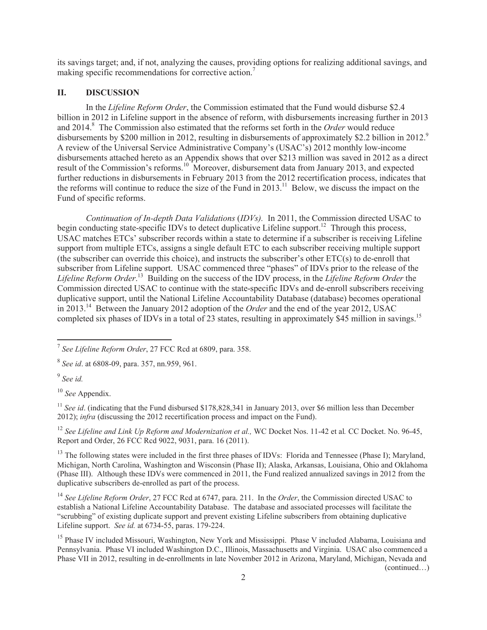its savings target; and, if not, analyzing the causes, providing options for realizing additional savings, and making specific recommendations for corrective action.<sup>7</sup>

### **II. DISCUSSION**

In the *Lifeline Reform Order*, the Commission estimated that the Fund would disburse \$2.4 billion in 2012 in Lifeline support in the absence of reform, with disbursements increasing further in 2013 and 2014.<sup>8</sup> The Commission also estimated that the reforms set forth in the *Order* would reduce disbursements by \$200 million in 2012, resulting in disbursements of approximately \$2.2 billion in 2012.<sup>9</sup> A review of the Universal Service Administrative Company's (USAC's) 2012 monthly low-income disbursements attached hereto as an Appendix shows that over \$213 million was saved in 2012 as a direct result of the Commission's reforms.<sup>10</sup> Moreover, disbursement data from January 2013, and expected further reductions in disbursements in February 2013 from the 2012 recertification process, indicates that the reforms will continue to reduce the size of the Fund in  $2013$ .<sup>11</sup> Below, we discuss the impact on the Fund of specific reforms.

*Continuation of In-depth Data Validations* (*IDVs).* In 2011, the Commission directed USAC to begin conducting state-specific IDVs to detect duplicative Lifeline support.<sup>12</sup> Through this process, USAC matches ETCs' subscriber records within a state to determine if a subscriber is receiving Lifeline support from multiple ETCs, assigns a single default ETC to each subscriber receiving multiple support (the subscriber can override this choice), and instructs the subscriber's other ETC(s) to de-enroll that subscriber from Lifeline support. USAC commenced three "phases" of IDVs prior to the release of the *Lifeline Reform Order*. <sup>13</sup> Building on the success of the IDV process, in the *Lifeline Reform Order* the Commission directed USAC to continue with the state-specific IDVs and de-enroll subscribers receiving duplicative support, until the National Lifeline Accountability Database (database) becomes operational in 2013.<sup>14</sup> Between the January 2012 adoption of the *Order* and the end of the year 2012, USAC completed six phases of IDVs in a total of 23 states, resulting in approximately \$45 million in savings.<sup>15</sup>

8 *See id*. at 6808-09, para. 357, nn.959, 961.

9 *See id.*

<sup>10</sup> *See* Appendix.

<sup>11</sup> *See id.* (indicating that the Fund disbursed \$178,828,341 in January 2013, over \$6 million less than December 2012); *infra* (discussing the 2012 recertification process and impact on the Fund).

<sup>12</sup> See Lifeline and Link Up Reform and Modernization et al., WC Docket Nos. 11-42 et al. CC Docket. No. 96-45, Report and Order, 26 FCC Rcd 9022, 9031, para. 16 (2011).

<sup>13</sup> The following states were included in the first three phases of IDVs: Florida and Tennessee (Phase I); Maryland, Michigan, North Carolina, Washington and Wisconsin (Phase II); Alaska, Arkansas, Louisiana, Ohio and Oklahoma (Phase III). Although these IDVs were commenced in 2011, the Fund realized annualized savings in 2012 from the duplicative subscribers de-enrolled as part of the process.

<sup>14</sup> *See Lifeline Reform Order*, 27 FCC Rcd at 6747, para. 211. In the *Order*, the Commission directed USAC to establish a National Lifeline Accountability Database. The database and associated processes will facilitate the "scrubbing" of existing duplicate support and prevent existing Lifeline subscribers from obtaining duplicative Lifeline support. *See id.* at 6734-55, paras. 179-224.

<sup>15</sup> Phase IV included Missouri, Washington, New York and Mississippi. Phase V included Alabama, Louisiana and Pennsylvania. Phase VI included Washington D.C., Illinois, Massachusetts and Virginia. USAC also commenced a Phase VII in 2012, resulting in de-enrollments in late November 2012 in Arizona, Maryland, Michigan, Nevada and (continued…)

<sup>7</sup> *See Lifeline Reform Order*, 27 FCC Rcd at 6809, para. 358.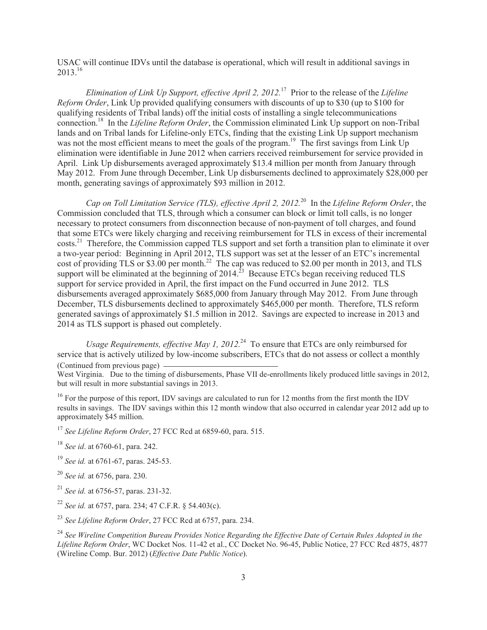USAC will continue IDVs until the database is operational, which will result in additional savings in 2013. 16

*Elimination of Link Up Support, effective April 2, 2012.*<sup>17</sup> Prior to the release of the *Lifeline Reform Order*, Link Up provided qualifying consumers with discounts of up to \$30 (up to \$100 for qualifying residents of Tribal lands) off the initial costs of installing a single telecommunications connection. <sup>18</sup> In the *Lifeline Reform Order*, the Commission eliminated Link Up support on non-Tribal lands and on Tribal lands for Lifeline-only ETCs, finding that the existing Link Up support mechanism was not the most efficient means to meet the goals of the program.<sup>19</sup> The first savings from Link Up elimination were identifiable in June 2012 when carriers received reimbursement for service provided in April. Link Up disbursements averaged approximately \$13.4 million per month from January through May 2012. From June through December, Link Up disbursements declined to approximately \$28,000 per month, generating savings of approximately \$93 million in 2012.

*Cap on Toll Limitation Service (TLS), effective April 2, 2012.*<sup>20</sup> In the *Lifeline Reform Order*, the Commission concluded that TLS, through which a consumer can block or limit toll calls, is no longer necessary to protect consumers from disconnection because of non-payment of toll charges, and found that some ETCs were likely charging and receiving reimbursement for TLS in excess of their incremental costs.<sup>21</sup> Therefore, the Commission capped TLS support and set forth a transition plan to eliminate it over a two-year period: Beginning in April 2012, TLS support was set at the lesser of an ETC's incremental cost of providing TLS or \$3.00 per month.<sup>22</sup> The cap was reduced to \$2.00 per month in 2013, and TLS support will be eliminated at the beginning of  $2014$ <sup>23</sup> Because ETCs began receiving reduced TLS support for service provided in April, the first impact on the Fund occurred in June 2012. TLS disbursements averaged approximately \$685,000 from January through May 2012. From June through December, TLS disbursements declined to approximately \$465,000 per month. Therefore, TLS reform generated savings of approximately \$1.5 million in 2012. Savings are expected to increase in 2013 and 2014 as TLS support is phased out completely.

*Usage Requirements, effective May 1, 2012.*<sup>24</sup> To ensure that ETCs are only reimbursed for service that is actively utilized by low-income subscribers, ETCs that do not assess or collect a monthly (Continued from previous page)

West Virginia. Due to the timing of disbursements, Phase VII de-enrollments likely produced little savings in 2012, but will result in more substantial savings in 2013.

<sup>16</sup> For the purpose of this report, IDV savings are calculated to run for 12 months from the first month the IDV results in savings. The IDV savings within this 12 month window that also occurred in calendar year 2012 add up to approximately \$45 million.

<sup>17</sup> See Lifeline Reform Order, 27 FCC Rcd at 6859-60, para. 515.

<sup>18</sup> *See id*. at 6760-61, para. 242.

<sup>19</sup> *See id.* at 6761-67, paras. 245-53.

<sup>20</sup> *See id.* at 6756, para. 230.

<sup>21</sup> *See id.* at 6756-57, paras. 231-32.

<sup>22</sup> *See id.* at 6757, para. 234; 47 C.F.R. § 54.403(c).

<sup>23</sup> *See Lifeline Reform Order*, 27 FCC Rcd at 6757, para. 234.

<sup>24</sup> *See Wireline Competition Bureau Provides Notice Regarding the Effective Date of Certain Rules Adopted in the Lifeline Reform Order*, WC Docket Nos. 11-42 et al., CC Docket No. 96-45, Public Notice, 27 FCC Rcd 4875, 4877 (Wireline Comp. Bur. 2012) (*Effective Date Public Notice*).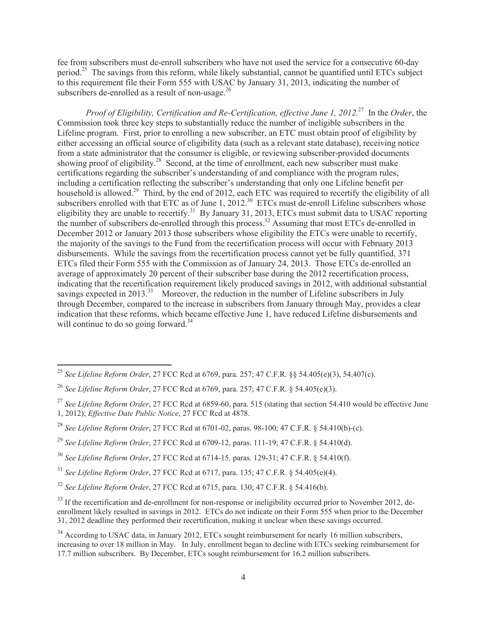fee from subscribers must de-enroll subscribers who have not used the service for a consecutive 60-day period.<sup>25</sup> The savings from this reform, while likely substantial, cannot be quantified until ETCs subject to this requirement file their Form 555 with USAC by January 31, 2013, indicating the number of subscribers de-enrolled as a result of non-usage.<sup>26</sup>

*Proof of Eligibility, Certification and Re-Certification, effective June 1, 2012.*<sup>27</sup> In the *Order*, the Commission took three key steps to substantially reduce the number of ineligible subscribers in the Lifeline program. First, prior to enrolling a new subscriber, an ETC must obtain proof of eligibility by either accessing an official source of eligibility data (such as a relevant state database), receiving notice from a state administrator that the consumer is eligible, or reviewing subscriber-provided documents showing proof of eligibility.<sup>28</sup> Second, at the time of enrollment, each new subscriber must make certifications regarding the subscriber's understanding of and compliance with the program rules, including a certification reflecting the subscriber's understanding that only one Lifeline benefit per household is allowed.<sup>29</sup> Third, by the end of 2012, each ETC was required to recertify the eligibility of all subscribers enrolled with that ETC as of June 1,  $2012^{30}$  ETCs must de-enroll Lifeline subscribers whose eligibility they are unable to recertify.<sup>31</sup> By January 31, 2013, ETCs must submit data to USAC reporting the number of subscribers de-enrolled through this process.<sup>32</sup> Assuming that most ETCs de-enrolled in December 2012 or January 2013 those subscribers whose eligibility the ETCs were unable to recertify, the majority of the savings to the Fund from the recertification process will occur with February 2013 disbursements. While the savings from the recertification process cannot yet be fully quantified, 371 ETCs filed their Form 555 with the Commission as of January 24, 2013. Those ETCs de-enrolled an average of approximately 20 percent of their subscriber base during the 2012 recertification process, indicating that the recertification requirement likely produced savings in 2012, with additional substantial savings expected in 2013.<sup>33</sup> Moreover, the reduction in the number of Lifeline subscribers in July through December, compared to the increase in subscribers from January through May, provides a clear indication that these reforms, which became effective June 1, have reduced Lifeline disbursements and will continue to do so going forward. $34$ 

<sup>25</sup> *See Lifeline Reform Order*, 27 FCC Rcd at 6769, para. 257; 47 C.F.R. §§ 54.405(e)(3), 54.407(c).

<sup>26</sup> *See Lifeline Reform Order*, 27 FCC Rcd at 6769, para*.* 257; 47 C.F.R. § 54.405(e)(3).

<sup>&</sup>lt;sup>27</sup> See Lifeline Reform Order, 27 FCC Rcd at 6859-60, para. 515 (stating that section 54.410 would be effective June 1, 2012); *Effective Date Public Notice*, 27 FCC Rcd at 4878.

<sup>28</sup> *See Lifeline Reform Order*, 27 FCC Rcd at 6701-02, paras. 98-100; 47 C.F.R. § 54.410(b)-(c).

<sup>29</sup> *See Lifeline Reform Order*, 27 FCC Rcd at 6709-12, paras. 111-19; 47 C.F.R. § 54.410(d).

<sup>30</sup> *See Lifeline Reform Order*, 27 FCC Rcd at 6714-15*,* paras*.* 129-31; 47 C.F.R. § 54.410(f).

<sup>31</sup> *See Lifeline Reform Order*, 27 FCC Rcd at 6717, para. 135; 47 C.F.R. § 54.405(e)(4).

<sup>32</sup> *See Lifeline Reform Order*, 27 FCC Rcd at 6715, para. 130; 47 C.F.R. § 54.416(b).

<sup>&</sup>lt;sup>33</sup> If the recertification and de-enrollment for non-response or ineligibility occurred prior to November 2012, deenrollment likely resulted in savings in 2012. ETCs do not indicate on their Form 555 when prior to the December 31, 2012 deadline they performed their recertification, making it unclear when these savings occurred.

<sup>&</sup>lt;sup>34</sup> According to USAC data, in January 2012, ETCs sought reimbursement for nearly 16 million subscribers, increasing to over 18 million in May. In July, enrollment began to decline with ETCs seeking reimbursement for 17.7 million subscribers. By December, ETCs sought reimbursement for 16.2 million subscribers.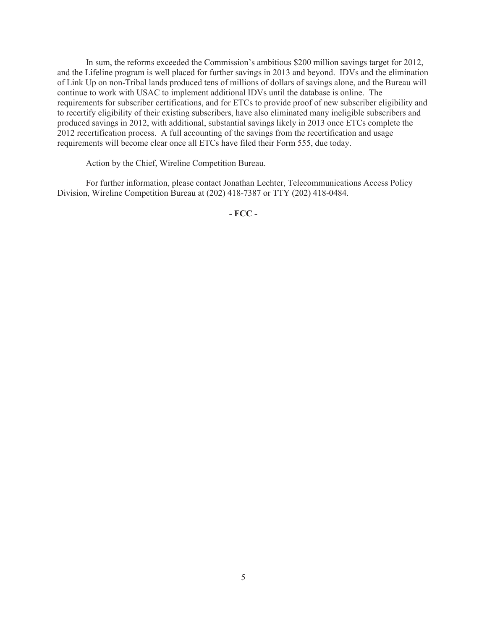In sum, the reforms exceeded the Commission's ambitious \$200 million savings target for 2012, and the Lifeline program is well placed for further savings in 2013 and beyond. IDVs and the elimination of Link Up on non-Tribal lands produced tens of millions of dollars of savings alone, and the Bureau will continue to work with USAC to implement additional IDVs until the database is online. The requirements for subscriber certifications, and for ETCs to provide proof of new subscriber eligibility and to recertify eligibility of their existing subscribers, have also eliminated many ineligible subscribers and produced savings in 2012, with additional, substantial savings likely in 2013 once ETCs complete the 2012 recertification process. A full accounting of the savings from the recertification and usage requirements will become clear once all ETCs have filed their Form 555, due today.

Action by the Chief, Wireline Competition Bureau.

For further information, please contact Jonathan Lechter, Telecommunications Access Policy Division, Wireline Competition Bureau at (202) 418-7387 or TTY (202) 418-0484.

**- FCC -**